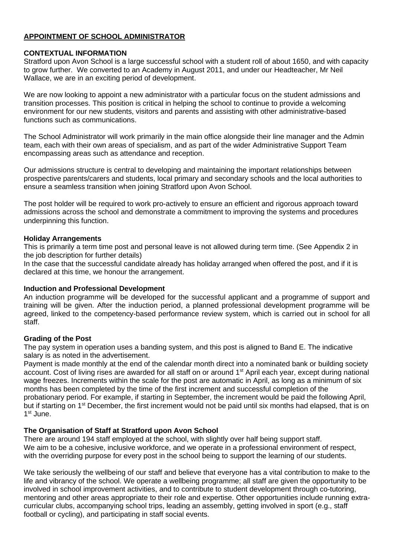# **APPOINTMENT OF SCHOOL ADMINISTRATOR**

### **CONTEXTUAL INFORMATION**

Stratford upon Avon School is a large successful school with a student roll of about 1650, and with capacity to grow further. We converted to an Academy in August 2011, and under our Headteacher, Mr Neil Wallace, we are in an exciting period of development.

We are now looking to appoint a new administrator with a particular focus on the student admissions and transition processes. This position is critical in helping the school to continue to provide a welcoming environment for our new students, visitors and parents and assisting with other administrative-based functions such as communications.

The School Administrator will work primarily in the main office alongside their line manager and the Admin team, each with their own areas of specialism, and as part of the wider Administrative Support Team encompassing areas such as attendance and reception.

Our admissions structure is central to developing and maintaining the important relationships between prospective parents/carers and students, local primary and secondary schools and the local authorities to ensure a seamless transition when joining Stratford upon Avon School.

The post holder will be required to work pro-actively to ensure an efficient and rigorous approach toward admissions across the school and demonstrate a commitment to improving the systems and procedures underpinning this function.

#### **Holiday Arrangements**

This is primarily a term time post and personal leave is not allowed during term time. (See Appendix 2 in the job description for further details)

In the case that the successful candidate already has holiday arranged when offered the post, and if it is declared at this time, we honour the arrangement.

## **Induction and Professional Development**

An induction programme will be developed for the successful applicant and a programme of support and training will be given. After the induction period, a planned professional development programme will be agreed, linked to the competency-based performance review system, which is carried out in school for all staff.

## **Grading of the Post**

The pay system in operation uses a banding system, and this post is aligned to Band E. The indicative salary is as noted in the advertisement.

Payment is made monthly at the end of the calendar month direct into a nominated bank or building society account. Cost of living rises are awarded for all staff on or around 1<sup>st</sup> April each year, except during national wage freezes. Increments within the scale for the post are automatic in April, as long as a minimum of six months has been completed by the time of the first increment and successful completion of the probationary period. For example, if starting in September, the increment would be paid the following April, but if starting on 1<sup>st</sup> December, the first increment would not be paid until six months had elapsed, that is on 1<sup>st</sup> June.

## **The Organisation of Staff at Stratford upon Avon School**

There are around 194 staff employed at the school, with slightly over half being support staff. We aim to be a cohesive, inclusive workforce, and we operate in a professional environment of respect, with the overriding purpose for every post in the school being to support the learning of our students.

We take seriously the wellbeing of our staff and believe that everyone has a vital contribution to make to the life and vibrancy of the school. We operate a wellbeing programme; all staff are given the opportunity to be involved in school improvement activities, and to contribute to student development through co-tutoring, mentoring and other areas appropriate to their role and expertise. Other opportunities include running extracurricular clubs, accompanying school trips, leading an assembly, getting involved in sport (e.g., staff football or cycling), and participating in staff social events.